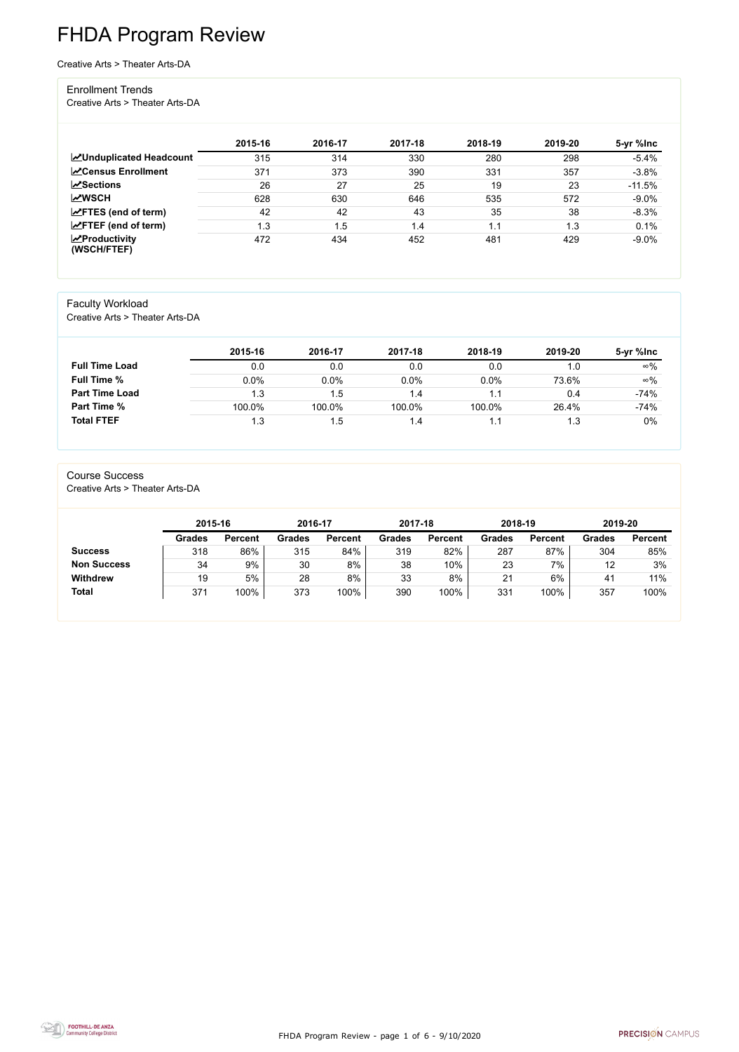FHDA Program Review - page 1 of 6 - 9/10/2020



# FHDA Program Review

Creative Arts > Theater Arts-DA

#### Enrollment Trends

Creative Arts > Theater Arts-DA

|                                          | 2015-16 | 2016-17 | 2017-18 | 2018-19 | 2019-20 | 5-yr %lnc |
|------------------------------------------|---------|---------|---------|---------|---------|-----------|
| <b>ZUnduplicated Headcount</b>           | 315     | 314     | 330     | 280     | 298     | $-5.4%$   |
| <b>ZCensus Enrollment</b>                | 371     | 373     | 390     | 331     | 357     | $-3.8%$   |
| <b>ZSections</b>                         | 26      | 27      | 25      | 19      | 23      | $-11.5%$  |
| <b>MWSCH</b>                             | 628     | 630     | 646     | 535     | 572     | $-9.0%$   |
| $\angle$ FTES (end of term)              | 42      | 42      | 43      | 35      | 38      | $-8.3%$   |
| $\angle$ FTEF (end of term)              | 1.3     | 1.5     | 1.4     | 1.1     | 1.3     | 0.1%      |
| $\mathbf{Z}$ Productivity<br>(WSCH/FTEF) | 472     | 434     | 452     | 481     | 429     | $-9.0%$   |

#### Faculty Workload

Creative Arts > Theater Arts-DA

|                       | 2015-16 | 2016-17 | 2017-18 | 2018-19       | 2019-20 | 5-yr %lnc  |
|-----------------------|---------|---------|---------|---------------|---------|------------|
| <b>Full Time Load</b> | 0.0     | 0.0     | 0.0     | 0.0           |         | $\infty\%$ |
| <b>Full Time %</b>    | $0.0\%$ | 0.0%    | 0.0%    | 0.0%          | 73.6%   | $\infty\%$ |
| <b>Part Time Load</b> | 1.3     | 1.5     | 1.4     |               | 0.4     | $-74%$     |
| <b>Part Time %</b>    | 100.0%  | 100.0%  | 100.0%  | 100.0%        | 26.4%   | $-74%$     |
| <b>Total FTEF</b>     | 1.3     | 1.5     | 1.4     | $\mathsf{L}1$ |         | $0\%$      |

#### Course Success

Creative Arts > Theater Arts-DA

| 2015-16       |                | 2016-17       |                | 2017-18       |                | 2018-19       |                | 2019-20       |                |
|---------------|----------------|---------------|----------------|---------------|----------------|---------------|----------------|---------------|----------------|
| <b>Grades</b> | <b>Percent</b> | <b>Grades</b> | <b>Percent</b> | <b>Grades</b> | <b>Percent</b> | <b>Grades</b> | <b>Percent</b> | <b>Grades</b> | <b>Percent</b> |
| 318           | 86%            | 315           | 84%            | 319           | 82%            | 287           | 87%            | 304           | 85%            |
| 34            | 9%             | 30            | 8%             | 38            | 10%            | 23            | $7\%$          | 12            | 3%             |
| 19            | 5%             | 28            | 8%             | 33            | 8%             | 21            | 6%             | 41            | 11%            |
| 371           | 100%           | 373           | 100%           | 390           | 100%           | 331           | 100%           | 357           | 100%           |
|               |                |               |                |               |                |               |                |               |                |

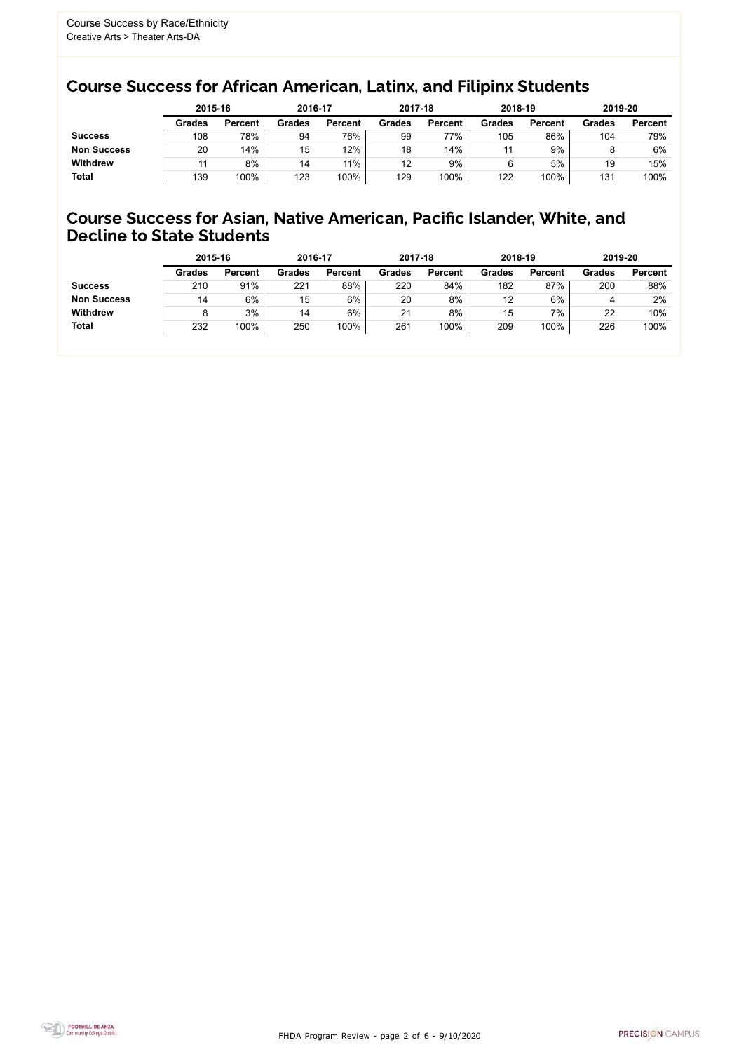FHDA Program Review - page 2 of 6 - 9/10/2020



## Course Success for African American, Latinx, and Filipinx Students

### Course Success for Asian, Native American, Pacific Islander, White, and Decline to State Students

|                    | 2015-16       |                | 2016-17       |                | 2017-18       |                | 2018-19       |                | 2019-20       |                |
|--------------------|---------------|----------------|---------------|----------------|---------------|----------------|---------------|----------------|---------------|----------------|
|                    | <b>Grades</b> | <b>Percent</b> | <b>Grades</b> | <b>Percent</b> | <b>Grades</b> | <b>Percent</b> | <b>Grades</b> | <b>Percent</b> | <b>Grades</b> | <b>Percent</b> |
| <b>Success</b>     | 108           | 78%            | 94            | 76%            | 99            | 77%            | 105           | 86%            | 104           | 79%            |
| <b>Non Success</b> | 20            | 14%            | 15            | 12%            | 18            | 14%            | 11            | 9%             |               | 6%             |
| <b>Withdrew</b>    |               | 8%             | 14            | 11%            | 12            | 9%             |               | 5%             | 19            | 15%            |
| <b>Total</b>       | 139           | 100%           | 123           | 100%           | 129           | 100%           | 122           | 100%           | 131           | 100%           |

|                    |               | 2015-16        |               | 2016-17        |               | 2017-18        | 2018-19       |                | 2019-20       |                |
|--------------------|---------------|----------------|---------------|----------------|---------------|----------------|---------------|----------------|---------------|----------------|
|                    | <b>Grades</b> | <b>Percent</b> | <b>Grades</b> | <b>Percent</b> | <b>Grades</b> | <b>Percent</b> | <b>Grades</b> | <b>Percent</b> | <b>Grades</b> | <b>Percent</b> |
| <b>Success</b>     | 210           | 91%            | 221           | 88%            | 220           | 84%            | 182           | 87%            | 200           | 88%            |
| <b>Non Success</b> | 14            | 6%             | 15            | 6%             | 20            | 8%             | 12            | 6%             | 4             | 2%             |
| <b>Withdrew</b>    |               | 3%             | 14            | 6%             | 21            | 8%             | 15            | 7%             | 22            | 10%            |
| <b>Total</b>       | 232           | 100%           | 250           | 100%           | 261           | 100%           | 209           | 100%           | 226           | 100%           |
|                    |               |                |               |                |               |                |               |                |               |                |

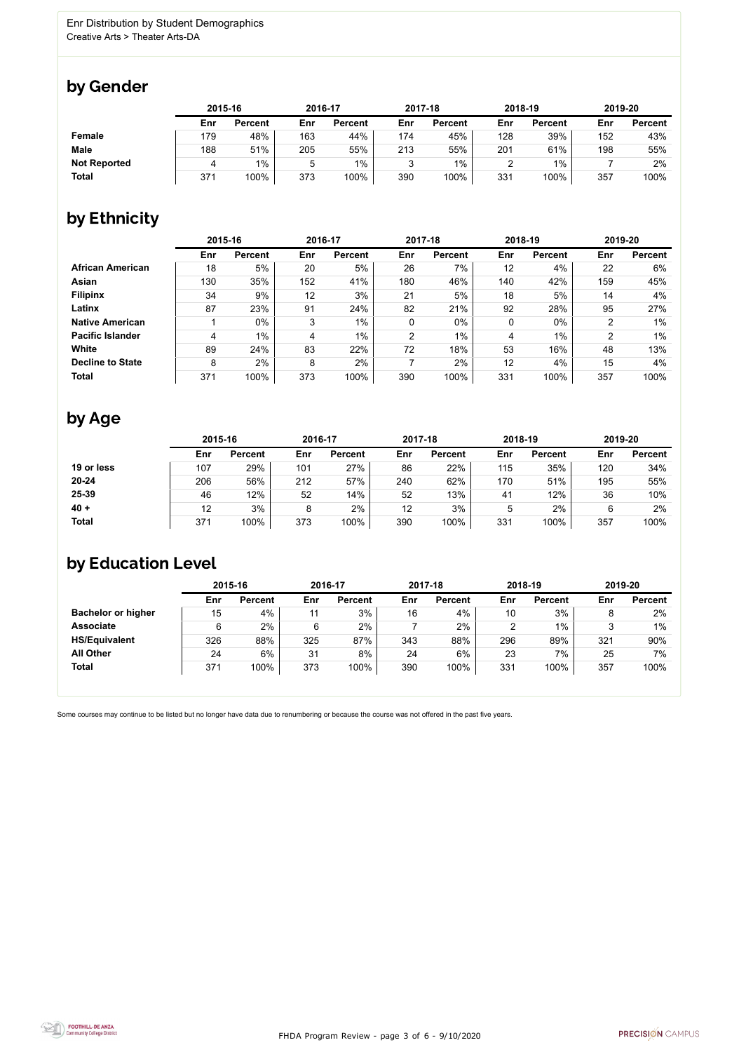

Some courses may continue to be listed but no longer have data due to renumbering or because the course was not offered in the past five years.



## by Gender

|                     | 2015-16 |                |     | 2016-17        |         | 2017-18        | 2018-19 |                | 2019-20 |                |
|---------------------|---------|----------------|-----|----------------|---------|----------------|---------|----------------|---------|----------------|
|                     | Enr     | <b>Percent</b> | Enr | <b>Percent</b> | Enr     | <b>Percent</b> | Enr     | <b>Percent</b> | Enr     | <b>Percent</b> |
| Female              | 179     | 48%            | 163 | 44%            | 174     | 45%            | 128     | 39%            | 152     | 43%            |
| <b>Male</b>         | 188     | 51%            | 205 | 55%            | 213     | 55%            | 201     | 61%            | 198     | 55%            |
| <b>Not Reported</b> | 4       | $1\%$          | 5   | 1%             | ્ર<br>J | $1\%$          |         | $1\%$          |         | 2%             |
| <b>Total</b>        | 371     | 100%           | 373 | 100%           | 390     | 100%           | 331     | 100%           | 357     | 100%           |

## by Ethnicity

|                         | 2015-16 |                |     | 2016-17        |                | 2017-18        |     | 2018-19        |     | 2019-20        |
|-------------------------|---------|----------------|-----|----------------|----------------|----------------|-----|----------------|-----|----------------|
|                         | Enr     | <b>Percent</b> | Enr | <b>Percent</b> | Enr            | <b>Percent</b> | Enr | <b>Percent</b> | Enr | <b>Percent</b> |
| <b>African American</b> | 18      | 5%             | 20  | 5%             | 26             | 7%             | 12  | 4%             | 22  | 6%             |
| <b>Asian</b>            | 130     | 35%            | 152 | 41%            | 180            | 46%            | 140 | 42%            | 159 | 45%            |
| <b>Filipinx</b>         | 34      | 9%             | 12  | 3%             | 21             | 5%             | 18  | 5%             | 14  | 4%             |
| Latinx                  | 87      | 23%            | 91  | 24%            | 82             | 21%            | 92  | 28%            | 95  | 27%            |
| <b>Native American</b>  |         | $0\%$          | 3   | $1\%$          | $\mathbf 0$    | $0\%$          | 0   | $0\%$          | 2   | $1\%$          |
| <b>Pacific Islander</b> | 4       | 1%             | 4   | $1\%$          | $\overline{2}$ | $1\%$          | 4   | $1\%$          | າ   | $1\%$          |
| White                   | 89      | 24%            | 83  | 22%            | 72             | 18%            | 53  | 16%            | 48  | 13%            |
| <b>Decline to State</b> | 8       | 2%             | 8   | 2%             |                | 2%             | 12  | 4%             | 15  | 4%             |
| <b>Total</b>            | 371     | 100%           | 373 | 100%           | 390            | 100%           | 331 | 100%           | 357 | 100%           |

## by Age

|              | 2015-16 |                |     | 2016-17        |     | 2017-18        | 2018-19 |                | 2019-20 |                |
|--------------|---------|----------------|-----|----------------|-----|----------------|---------|----------------|---------|----------------|
|              | Enr     | <b>Percent</b> | Enr | <b>Percent</b> | Enr | <b>Percent</b> | Enr     | <b>Percent</b> | Enr     | <b>Percent</b> |
| 19 or less   | 107     | 29%            | 101 | 27%            | 86  | 22%            | 115     | 35%            | 120     | 34%            |
| $20 - 24$    | 206     | 56%            | 212 | 57%            | 240 | 62%            | 170     | 51%            | 195     | 55%            |
| 25-39        | 46      | 12%            | 52  | 14%            | 52  | 13%            | 41      | 12%            | 36      | 10%            |
| $40 +$       | 12      | 3%             |     | 2%             | 12  | 3%             | 5       | 2%             |         | 2%             |
| <b>Total</b> | 371     | 100%           | 373 | 100%           | 390 | 100%           | 331     | 100%           | 357     | 100%           |

## by Education Level

|                           | 2015-16 |                |     | 2016-17        |     | 2017-18        |     | 2018-19        | 2019-20 |                |
|---------------------------|---------|----------------|-----|----------------|-----|----------------|-----|----------------|---------|----------------|
|                           | Enr     | <b>Percent</b> | Enr | <b>Percent</b> | Enr | <b>Percent</b> | Enr | <b>Percent</b> | Enr     | <b>Percent</b> |
| <b>Bachelor or higher</b> | 15      | 4%             | 11  | 3%             | 16  | 4%             | 10  | 3%             |         | 2%             |
| <b>Associate</b>          | 6       | 2%             | 6   | 2%             |     | 2%             |     | $1\%$          |         | $1\%$          |
| <b>HS/Equivalent</b>      | 326     | 88%            | 325 | 87%            | 343 | 88%            | 296 | 89%            | 321     | 90%            |
| <b>All Other</b>          | 24      | 6%             | 31  | 8%             | 24  | 6%             | 23  | 7%             | 25      | 7%             |
| <b>Total</b>              | 371     | 100%           | 373 | 100%           | 390 | 100%           | 331 | 100%           | 357     | 100%           |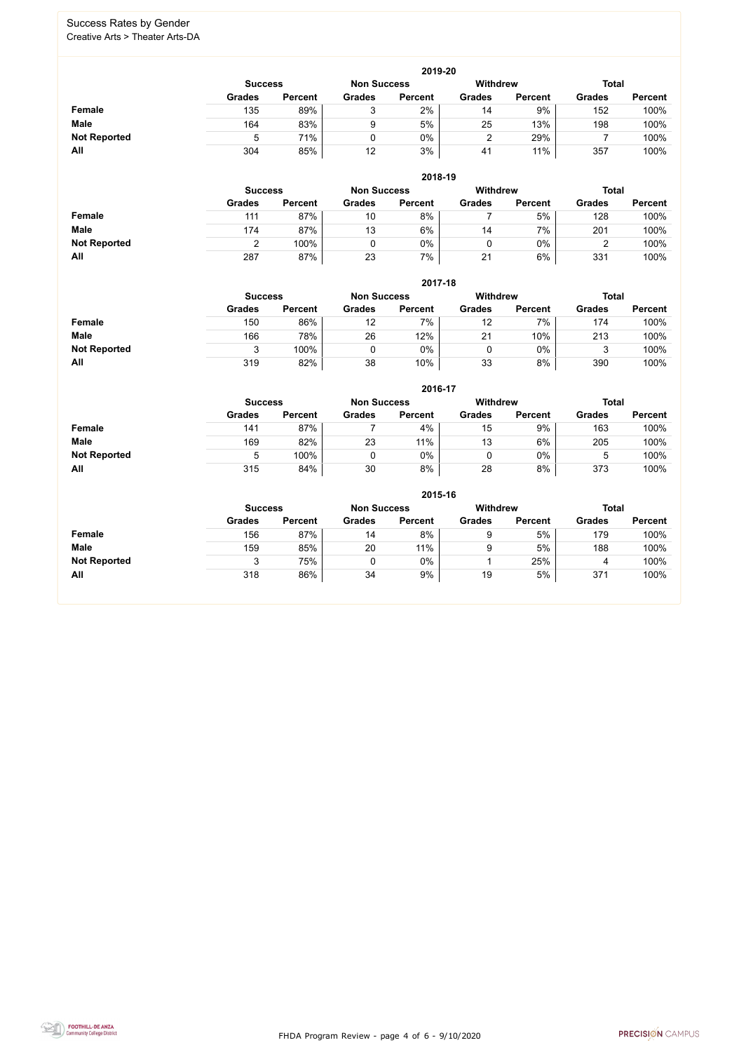FHDA Program Review - page 4 of 6 - 9/10/2020



#### Success Rates by Gender Creative Arts > Theater Arts-DA

|                     | 2019-20        |                    |                 |                |               |                |               |                |  |  |  |  |  |
|---------------------|----------------|--------------------|-----------------|----------------|---------------|----------------|---------------|----------------|--|--|--|--|--|
|                     | <b>Success</b> | <b>Non Success</b> | <b>Withdrew</b> |                | <b>Total</b>  |                |               |                |  |  |  |  |  |
|                     | <b>Grades</b>  | <b>Percent</b>     | <b>Grades</b>   | <b>Percent</b> | <b>Grades</b> | <b>Percent</b> | <b>Grades</b> | <b>Percent</b> |  |  |  |  |  |
| Female              | 135            | 89%                |                 | 2%             | 14            | 9%             | 152           | 100%           |  |  |  |  |  |
| <b>Male</b>         | 164            | 83%                |                 | 5%             | 25            | 13%            | 198           | 100%           |  |  |  |  |  |
| <b>Not Reported</b> |                | 71%                |                 | 0%             | <u>L</u>      | 29%            |               | 100%           |  |  |  |  |  |
| All                 | 304            | 85%                | 12              | 3%             | 41            | 11%            | 357           | 100%           |  |  |  |  |  |

|                     |                | 2018-19        |                    |                |                 |                |               |                |  |  |  |  |  |  |
|---------------------|----------------|----------------|--------------------|----------------|-----------------|----------------|---------------|----------------|--|--|--|--|--|--|
|                     | <b>Success</b> |                | <b>Non Success</b> |                | <b>Withdrew</b> |                | <b>Total</b>  |                |  |  |  |  |  |  |
|                     | <b>Grades</b>  | <b>Percent</b> | <b>Grades</b>      | <b>Percent</b> | <b>Grades</b>   | <b>Percent</b> | <b>Grades</b> | <b>Percent</b> |  |  |  |  |  |  |
| <b>Female</b>       | 111            | 87%            | 10                 | 8%             |                 | 5%             | 128           | 100%           |  |  |  |  |  |  |
| <b>Male</b>         | 174            | 87%            | 13                 | 6%             | 14              | 7%             | 201           | 100%           |  |  |  |  |  |  |
| <b>Not Reported</b> |                | 100%           |                    | $0\%$          | U               | $0\%$          |               | 100%           |  |  |  |  |  |  |
| All                 | 287            | 87%            | 23                 | 7%             | 21              | 6%             | 331           | 100%           |  |  |  |  |  |  |

|                     |                | 2017-18        |                    |                |                 |                |               |                |  |  |  |  |  |  |
|---------------------|----------------|----------------|--------------------|----------------|-----------------|----------------|---------------|----------------|--|--|--|--|--|--|
|                     | <b>Success</b> |                | <b>Non Success</b> |                | <b>Withdrew</b> |                | <b>Total</b>  |                |  |  |  |  |  |  |
|                     | <b>Grades</b>  | <b>Percent</b> | <b>Grades</b>      | <b>Percent</b> | <b>Grades</b>   | <b>Percent</b> | <b>Grades</b> | <b>Percent</b> |  |  |  |  |  |  |
| <b>Female</b>       | 150            | 86%            | 12                 | 7%             | 12              | 7%             | 174           | 100%           |  |  |  |  |  |  |
| <b>Male</b>         | 166            | 78%            | 26                 | 12%            | 21              | 10%            | 213           | 100%           |  |  |  |  |  |  |
| <b>Not Reported</b> |                | 100%           |                    | 0%             |                 | 0%             | J             | 100%           |  |  |  |  |  |  |
| All                 | 319            | 82%            | 38                 | 10%            | 33              | 8%             | 390           | 100%           |  |  |  |  |  |  |

|                     |               | 2016-17                              |               |                |               |                 |               |                |  |  |
|---------------------|---------------|--------------------------------------|---------------|----------------|---------------|-----------------|---------------|----------------|--|--|
|                     |               | <b>Non Success</b><br><b>Success</b> |               |                |               | <b>Withdrew</b> | <b>Total</b>  |                |  |  |
|                     | <b>Grades</b> | <b>Percent</b>                       | <b>Grades</b> | <b>Percent</b> | <b>Grades</b> | <b>Percent</b>  | <b>Grades</b> | <b>Percent</b> |  |  |
| Female              | 141           | 87%                                  |               | 4%             | 15            | 9%              | 163           | 100%           |  |  |
| <b>Male</b>         | 169           | 82%                                  | 23            | 11%            | 13            | 6%              | 205           | 100%           |  |  |
| <b>Not Reported</b> | 5             | 100%                                 |               | $0\%$          |               | $0\%$           |               | 100%           |  |  |
| All                 | 315           | 84%                                  | 30            | 8%             | 28            | 8%              | 373           | 100%           |  |  |

|                     |                |                |                    | 2015-16        |                 |                |               |                |
|---------------------|----------------|----------------|--------------------|----------------|-----------------|----------------|---------------|----------------|
|                     | <b>Success</b> |                | <b>Non Success</b> |                | <b>Withdrew</b> |                | <b>Total</b>  |                |
|                     | <b>Grades</b>  | <b>Percent</b> | <b>Grades</b>      | <b>Percent</b> | <b>Grades</b>   | <b>Percent</b> | <b>Grades</b> | <b>Percent</b> |
| <b>Female</b>       | 156            | 87%            | 14                 | 8%             | 9               | 5%             | 179           | 100%           |
| <b>Male</b>         | 159            | 85%            | 20                 | 11%            | 9               | 5%             | 188           | 100%           |
| <b>Not Reported</b> |                | 75%            | 0                  | 0%             |                 | 25%            | 4             | 100%           |
| All                 | 318            | 86%            | 34                 | 9%             | 19              | 5%             | 371           | 100%           |

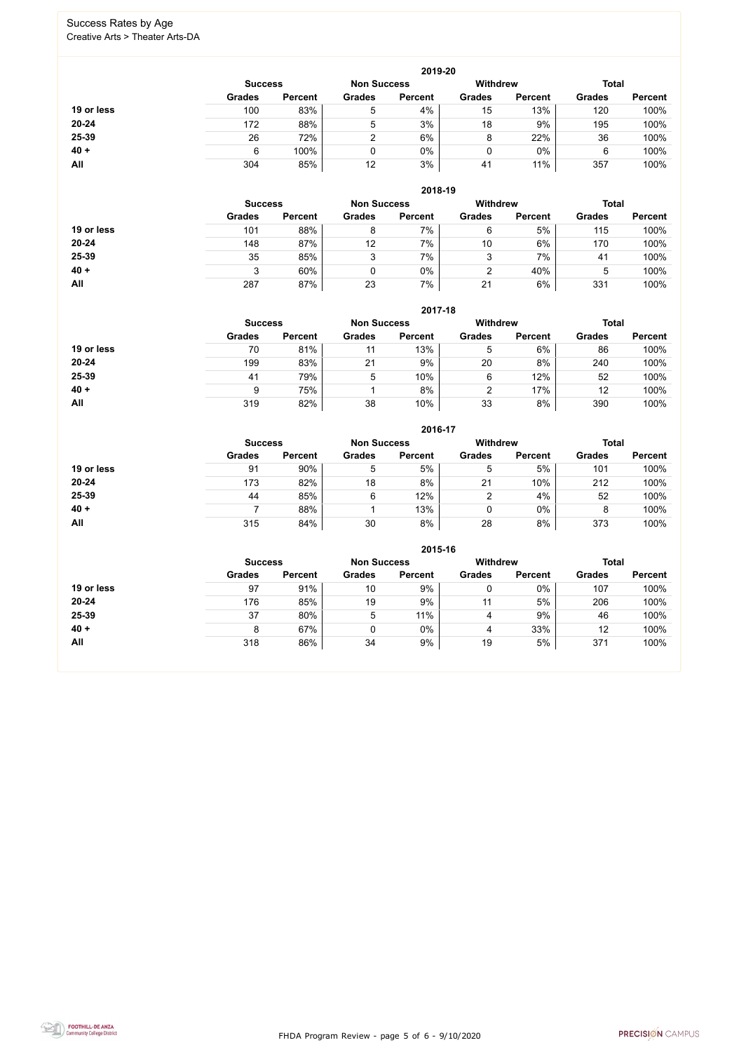FHDA Program Review - page 5 of 6 - 9/10/2020



#### Success Rates by Age Creative Arts > Theater Arts-DA

|            |                |                    |                 | 2019-20         |                |                |               |                |
|------------|----------------|--------------------|-----------------|-----------------|----------------|----------------|---------------|----------------|
|            | <b>Success</b> | <b>Non Success</b> |                 | <b>Withdrew</b> |                | <b>Total</b>   |               |                |
|            | <b>Grades</b>  | <b>Percent</b>     | <b>Grades</b>   | <b>Percent</b>  | <b>Grades</b>  | <b>Percent</b> | <b>Grades</b> | <b>Percent</b> |
| 19 or less | 100            | 83%                | $5\overline{)}$ | 4%              | 15             | 13%            | 120           | 100%           |
| $20 - 24$  | 172            | 88%                | 5               | 3%              | 18             | 9%             | 195           | 100%           |
| 25-39      | 26             | 72%                | 2               | 6%              | 8              | 22%            | 36            | 100%           |
| $40 +$     | 6              | 100%               | 0               | 0%              | 0              | $0\%$          | 6             | 100%           |
| All        | 304            | 85%                | 12              | 3%              | 4 <sup>1</sup> | 11%            | 357           | 100%           |

|            |                |                |                    | 2018-19        |                 |                |               |                |
|------------|----------------|----------------|--------------------|----------------|-----------------|----------------|---------------|----------------|
|            | <b>Success</b> |                | <b>Non Success</b> |                | <b>Withdrew</b> | <b>Total</b>   |               |                |
|            | <b>Grades</b>  | <b>Percent</b> | <b>Grades</b>      | <b>Percent</b> | <b>Grades</b>   | <b>Percent</b> | <b>Grades</b> | <b>Percent</b> |
| 19 or less | 101            | 88%            | 8                  | 7%             | 6               | 5%             | 115           | 100%           |
| $20 - 24$  | 148            | 87%            | 12                 | 7%             | 10              | 6%             | 170           | 100%           |
| 25-39      | 35             | 85%            | 3                  | 7%             | 3               | 7%             | 41            | 100%           |
| $40 +$     |                | 60%            | 0                  | 0%             | າ               | 40%            | 5             | 100%           |
| All        | 287            | 87%            | 23                 | 7%             | 21              | 6%             | 331           | 100%           |

#### **2017-18**



|            |                |                    |               | 2017-18        |                                 |                |               |                |
|------------|----------------|--------------------|---------------|----------------|---------------------------------|----------------|---------------|----------------|
|            | <b>Success</b> | <b>Non Success</b> |               |                | <b>Withdrew</b><br><b>Total</b> |                |               |                |
|            | <b>Grades</b>  | <b>Percent</b>     | <b>Grades</b> | <b>Percent</b> | <b>Grades</b>                   | <b>Percent</b> | <b>Grades</b> | <b>Percent</b> |
| 19 or less | 70             | 81%                | 11            | 13%            | 5                               | 6%             | 86            | 100%           |
| $20 - 24$  | 199            | 83%                | 21            | 9%             | 20                              | 8%             | 240           | 100%           |
| 25-39      | 41             | 79%                | 5             | 10%            | 6                               | 12%            | 52            | 100%           |
| $40 +$     | 9              | 75%                |               | 8%             | ົ                               | 17%            | 12            | 100%           |
| All        | 319            | 82%                | 38            | 10%            | 33                              | 8%             | 390           | 100%           |

|            |                |                |                                       | 2016-17        |               |                |               |                |
|------------|----------------|----------------|---------------------------------------|----------------|---------------|----------------|---------------|----------------|
|            | <b>Success</b> |                | <b>Withdrew</b><br><b>Non Success</b> |                | <b>Total</b>  |                |               |                |
|            | <b>Grades</b>  | <b>Percent</b> | <b>Grades</b>                         | <b>Percent</b> | <b>Grades</b> | <b>Percent</b> | <b>Grades</b> | <b>Percent</b> |
| 19 or less | 91             | 90%            | 5                                     | 5%             | 5             | 5%             | 101           | 100%           |
| 20-24      | 173            | 82%            | 18                                    | 8%             | 21            | 10%            | 212           | 100%           |
| 25-39      | 44             | 85%            | 6                                     | 12%            | າ             | 4%             | 52            | 100%           |
| $40 +$     |                | 88%            |                                       | 13%            | 0             | $0\%$          | 8             | 100%           |
| <b>All</b> | 315            | 84%            | 30                                    | 8%             | 28            | 8%             | 373           | 100%           |

|            |                |                    |               | 2015-16         |               |                |               |                |
|------------|----------------|--------------------|---------------|-----------------|---------------|----------------|---------------|----------------|
|            | <b>Success</b> | <b>Non Success</b> |               | <b>Withdrew</b> |               | <b>Total</b>   |               |                |
|            | <b>Grades</b>  | <b>Percent</b>     | <b>Grades</b> | <b>Percent</b>  | <b>Grades</b> | <b>Percent</b> | <b>Grades</b> | <b>Percent</b> |
| 19 or less | 97             | 91%                | 10            | 9%              |               | 0%             | 107           | 100%           |
| 20-24      | 176            | 85%                | 19            | 9%              | 11            | 5%             | 206           | 100%           |
| 25-39      | 37             | 80%                | 5             | 11%             | 4             | 9%             | 46            | 100%           |
| $40 +$     | 8              | 67%                |               | 0%              | 4             | 33%            | 12            | 100%           |
| All        | 318            | 86%                | 34            | 9%              | 19            | 5%             | 371           | 100%           |